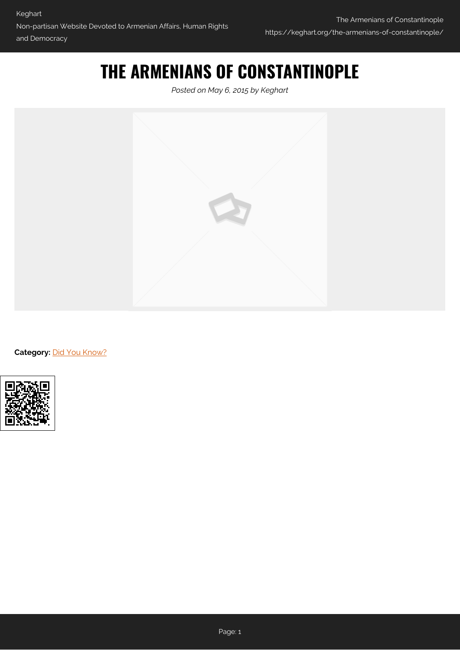## **THE ARMENIANS OF CONSTANTINOPLE**

*Posted on May 6, 2015 by Keghart*



Category: [Did You Know?](https://keghart.org/category/did-you-know/)